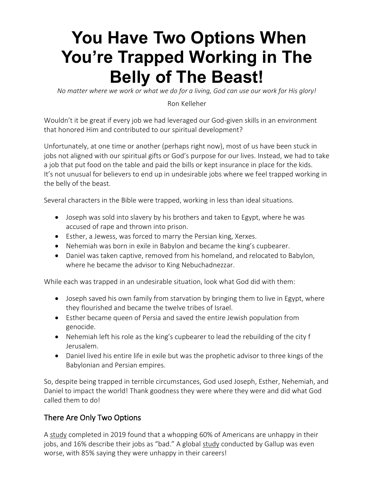# **[You Have Two Options When](https://ronkelleher.com/481-you-have-two-options-when-youre-trapped-working-in-the-belly-of-the-beast/)  [You're Trapped Working in The](https://ronkelleher.com/481-you-have-two-options-when-youre-trapped-working-in-the-belly-of-the-beast/)  [Belly of The Beast!](https://ronkelleher.com/481-you-have-two-options-when-youre-trapped-working-in-the-belly-of-the-beast/)**

*No matter where we work or what we do for a living, God can use our work for His glory!* 

#### Ron Kelleher

Wouldn't it be great if every job we had leveraged our God-given skills in an environment that honored Him and contributed to our spiritual development?

Unfortunately, at one time or another (perhaps right now), most of us have been stuck in jobs not aligned with our spiritual gifts or God's purpose for our lives. Instead, we had to take a job that put food on the table and paid the bills or kept insurance in place for the kids. It's not unusual for believers to end up in undesirable jobs where we feel trapped working in the belly of the beast.

Several characters in the Bible were trapped, working in less than ideal situations.

- Joseph was sold into slavery by his brothers and taken to Egypt, where he was accused of rape and thrown into prison.
- Esther, a Jewess, was forced to marry the Persian king, Xerxes.
- Nehemiah was born in exile in Babylon and became the king's cupbearer.
- Daniel was taken captive, removed from his homeland, and relocated to Babylon, where he became the advisor to King Nebuchadnezzar.

While each was trapped in an undesirable situation, look what God did with them:

- Joseph saved his own family from starvation by bringing them to live in Egypt, where they flourished and became the twelve tribes of Israel.
- Esther became queen of Persia and saved the entire Jewish population from genocide.
- Nehemiah left his role as the king's cupbearer to lead the rebuilding of the city f Jerusalem.
- Daniel lived his entire life in exile but was the prophetic advisor to three kings of the Babylonian and Persian empires.

So, despite being trapped in terrible circumstances, God used Joseph, Esther, Nehemiah, and Daniel to impact the world! Thank goodness they were where they were and did what God called them to do!

## There Are Only Two Options

A [study](https://workplaceinsight.net/majority-of-american-workers-are-unhappy-in-their-jobs/) completed in 2019 found that a whopping 60% of Americans are unhappy in their jobs, and 16% describe their jobs as "bad." A global [study](https://www.staffsquared.com/blog/why-85-of-people-hate-their-jobs/) conducted by Gallup was even worse, with 85% saying they were unhappy in their careers!